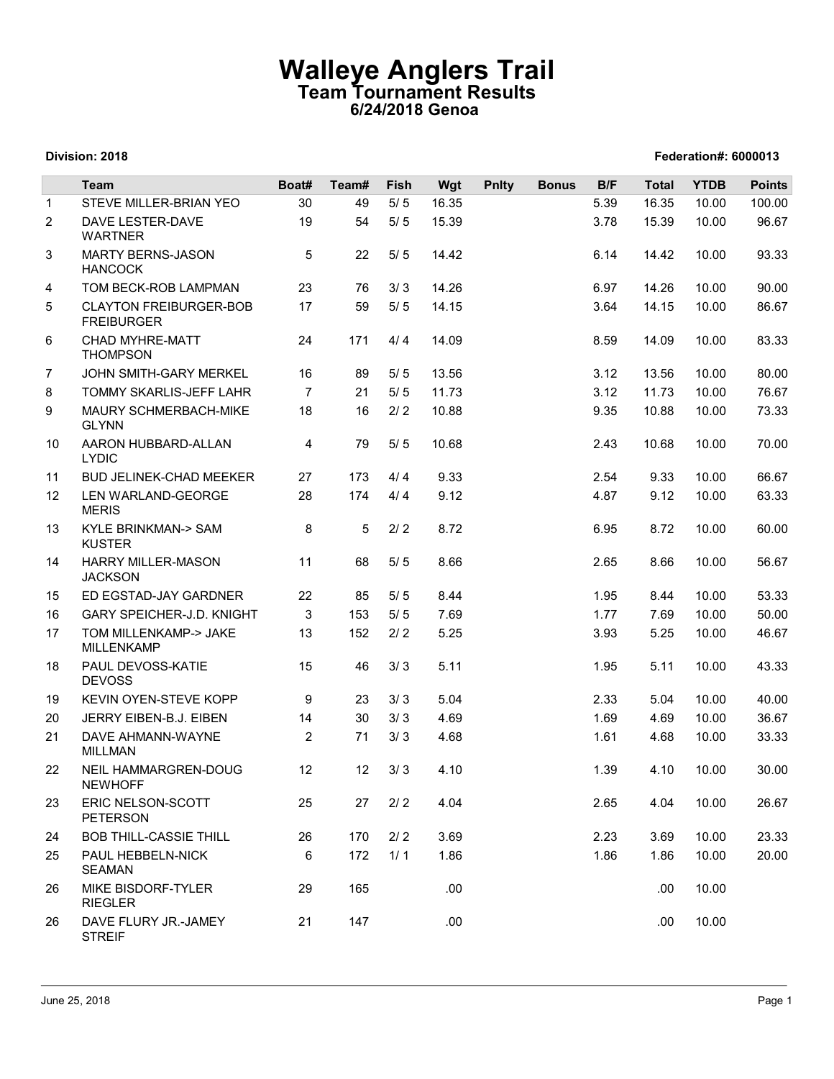## Walleye Anglers Trail Team Tournament Results 6/24/2018 Genoa

|                |                                                              |                |             |               | 6/24/2018 Genoa | <b>Team Tournament Results</b> |              |              |                |                      |                         |
|----------------|--------------------------------------------------------------|----------------|-------------|---------------|-----------------|--------------------------------|--------------|--------------|----------------|----------------------|-------------------------|
|                | Division: 2018                                               |                |             |               |                 |                                |              |              |                | Federation#: 6000013 |                         |
| $\overline{1}$ | Team<br>STEVE MILLER-BRIAN YEO                               | Boat#<br>30    | Team#<br>49 | Fish<br>$5/5$ | Wgt<br>16.35    | <b>Pnlty</b>                   | <b>Bonus</b> | B/F<br>5.39  | Total<br>16.35 | <b>YTDB</b><br>10.00 | <b>Points</b><br>100.00 |
| 2              | DAVE LESTER-DAVE<br><b>WARTNER</b>                           | 19             | 54          | 5/5           | 15.39           |                                |              | 3.78         | 15.39          | 10.00                | 96.67                   |
| 3              | <b>MARTY BERNS-JASON</b><br><b>HANCOCK</b>                   | $\overline{5}$ | 22          | 5/5           | 14.42           |                                |              | 6.14         | 14.42          | 10.00                | 93.33                   |
| 4              | TOM BECK-ROB LAMPMAN                                         | 23             | 76          | 3/3           | 14.26           |                                |              | 6.97         | 14.26          | 10.00                | 90.00                   |
| 5              | <b>CLAYTON FREIBURGER-BOB</b><br><b>FREIBURGER</b>           | 17             | 59          | $5/5$         | 14.15           |                                |              | 3.64         | 14.15          | 10.00                | 86.67                   |
| 6              | <b>CHAD MYHRE-MATT</b><br><b>THOMPSON</b>                    | 24             | 171         | 4/4           | 14.09           |                                |              | 8.59         | 14.09          | 10.00                | 83.33                   |
| $\overline{7}$ | JOHN SMITH-GARY MERKEL                                       | 16             | 89          | 5/5           | 13.56           |                                |              | 3.12         | 13.56          | 10.00                | 80.00                   |
| 8              | TOMMY SKARLIS-JEFF LAHR                                      | 7              | 21          | 5/5           | 11.73           |                                |              | 3.12         | 11.73          | 10.00                | 76.67                   |
| 9<br>10        | MAURY SCHMERBACH-MIKE<br><b>GLYNN</b><br>AARON HUBBARD-ALLAN | 18<br>4        | 16<br>79    | 2/2<br>5/5    | 10.88<br>10.68  |                                |              | 9.35<br>2.43 | 10.88<br>10.68 | 10.00<br>10.00       | 73.33<br>70.00          |
| 11             | <b>LYDIC</b><br><b>BUD JELINEK-CHAD MEEKER</b>               | 27             | 173         | 4/4           | 9.33            |                                |              | 2.54         | 9.33           | 10.00                | 66.67                   |
| 12             | LEN WARLAND-GEORGE                                           | 28             | 174         | 4/4           | 9.12            |                                |              | 4.87         | 9.12           | 10.00                | 63.33                   |
| 13             | <b>MERIS</b><br><b>KYLE BRINKMAN-&gt; SAM</b>                | 8              | $5^{\circ}$ | 2/2           | 8.72            |                                |              | 6.95         | 8.72           | 10.00                | 60.00                   |
| 14             | <b>KUSTER</b><br><b>HARRY MILLER-MASON</b>                   | 11             | 68          | 5/5           | 8.66            |                                |              | 2.65         | 8.66           | 10.00                | 56.67                   |
|                | <b>JACKSON</b>                                               |                |             |               |                 |                                |              |              |                |                      |                         |
| 15<br>16       | ED EGSTAD-JAY GARDNER<br>GARY SPEICHER-J.D. KNIGHT           | 22<br>3        | 85<br>153   | $5/5$<br>5/5  | 8.44<br>7.69    |                                |              | 1.95<br>1.77 | 8.44<br>7.69   | 10.00<br>10.00       | 53.33<br>50.00          |
| 17             | TOM MILLENKAMP-> JAKE<br><b>MILLENKAMP</b>                   | 13             | 152         | 2/2           | 5.25            |                                |              | 3.93         | 5.25           | 10.00                | 46.67                   |
| 18             | PAUL DEVOSS-KATIE<br><b>DEVOSS</b>                           | 15             | 46          | 3/3           | 5.11            |                                |              | 1.95         | 5.11           | 10.00                | 43.33                   |
| 19             | KEVIN OYEN-STEVE KOPP                                        | 9              | 23          | 3/3           | 5.04            |                                |              | 2.33         | 5.04           | 10.00                | 40.00                   |
| 20             | JERRY EIBEN-B.J. EIBEN                                       | 14             | 30          | 3/3           | 4.69            |                                |              | 1.69         | 4.69           | 10.00                | 36.67                   |
| 21             | DAVE AHMANN-WAYNE<br>MILLMAN                                 | $\overline{2}$ | 71          | 3/3           | 4.68            |                                |              | 1.61         | 4.68           | 10.00                | 33.33                   |
| 22             | NEIL HAMMARGREN-DOUG<br><b>NEWHOFF</b>                       | 12             | 12          | 3/3           | 4.10            |                                |              | 1.39         | 4.10           | 10.00                | 30.00                   |
| 23             | ERIC NELSON-SCOTT<br><b>PETERSON</b>                         | 25             | 27          | $2/2$         | 4.04            |                                |              | 2.65         | 4.04           | 10.00                | 26.67                   |
| 24             | <b>BOB THILL-CASSIE THILL</b>                                | 26             | 170         | $2/2$         | 3.69            |                                |              | 2.23         | 3.69           | 10.00                | 23.33                   |
| 25             | PAUL HEBBELN-NICK<br><b>SEAMAN</b>                           | 6              | 172         | 1/1           | 1.86            |                                |              | 1.86         | 1.86           | 10.00                | 20.00                   |
| 26             | MIKE BISDORF-TYLER<br><b>RIEGLER</b>                         | 29             | 165         |               | .00             |                                |              |              | .00.           | 10.00                |                         |
| 26             | DAVE FLURY JR.-JAMEY<br><b>STREIF</b>                        | 21             | 147         |               | .00             |                                |              |              | .00.           | 10.00                |                         |
|                |                                                              |                |             |               |                 |                                |              |              |                |                      |                         |
|                | June 25, 2018                                                |                |             |               |                 |                                |              |              |                |                      | Page 1                  |

### Division: 2018 Federation#: 6000013